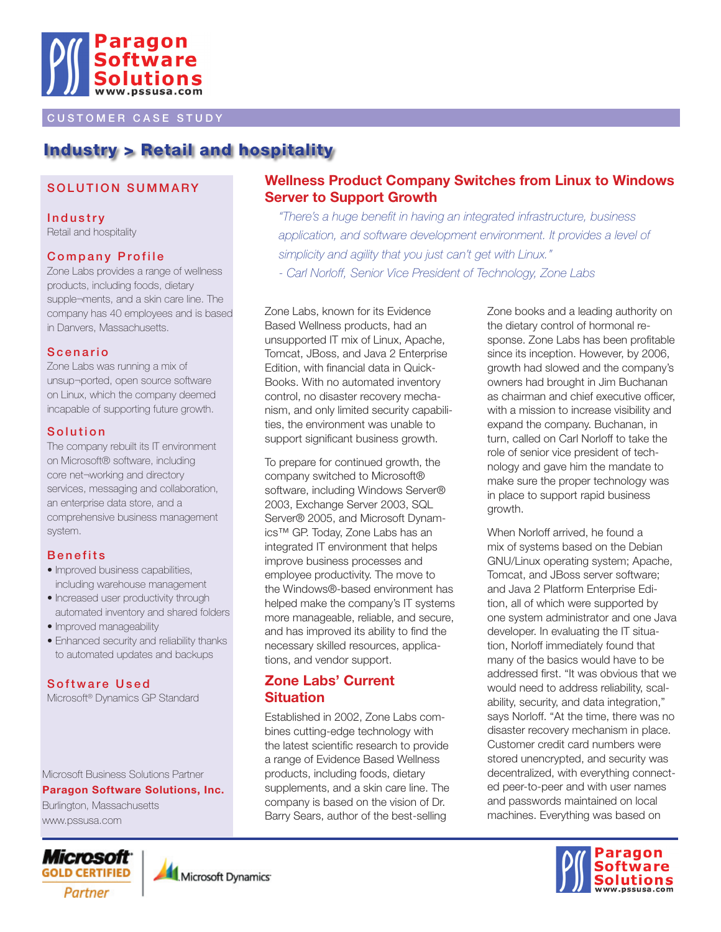

#### **CUSTOMER CASE STUDY**

## Industry > Retail and hospitality

#### SOLUTION SUMMARY

**Industry** Retail and hospitality

#### **Company Profile**

Zone Labs provides a range of wellness products, including foods, dietary supple¬ments, and a skin care line. The company has 40 employees and is based in Danvers, Massachusetts.

#### **Scenario**

Zone Labs was running a mix of unsup¬ported, open source software on Linux, which the company deemed incapable of supporting future growth.

#### **Solution**

The company rebuilt its IT environment on Microsoft® software, including core net¬working and directory services, messaging and collaboration, an enterprise data store, and a comprehensive business management system.

#### **Benefits**

- Improved business capabilities, including warehouse management
- Increased user productivity through automated inventory and shared folders
- Improved manageability
- Enhanced security and reliability thanks to automated updates and backups

#### Software Used

Microsoft® Dynamics GP Standard

Microsoft Business Solutions Partner

**Paragon Software Solutions, Inc.**

Burlington, Massachusetts www.pssusa.com

# *Microsoft* Partner



#### **Wellness Product Company Switches from Linux to Windows Server to Support Growth**

*"There's a huge benefit in having an integrated infrastructure, business*  application, and software development environment. It provides a level of *simplicity and agility that you just can't get with Linux." - Carl Norloff, Senior Vice President of Technology, Zone Labs*

Zone Labs, known for its Evidence Based Wellness products, had an unsupported IT mix of Linux, Apache, Tomcat, JBoss, and Java 2 Enterprise Edition, with financial data in Quick-Books. With no automated inventory control, no disaster recovery mechanism, and only limited security capabilities, the environment was unable to support significant business growth.

To prepare for continued growth, the company switched to Microsoft® software, including Windows Server® 2003, Exchange Server 2003, SQL Server® 2005, and Microsoft Dynamics™ GP. Today, Zone Labs has an integrated IT environment that helps improve business processes and employee productivity. The move to the Windows®-based environment has helped make the company's IT systems more manageable, reliable, and secure, and has improved its ability to find the necessary skilled resources, applications, and vendor support.

#### **Zone Labs' Current Situation**

Established in 2002, Zone Labs combines cutting-edge technology with the latest scientific research to provide a range of Evidence Based Wellness products, including foods, dietary supplements, and a skin care line. The company is based on the vision of Dr. Barry Sears, author of the best-selling

Zone books and a leading authority on the dietary control of hormonal response. Zone Labs has been profitable since its inception. However, by 2006, growth had slowed and the company's owners had brought in Jim Buchanan as chairman and chief executive officer, with a mission to increase visibility and expand the company. Buchanan, in turn, called on Carl Norloff to take the role of senior vice president of technology and gave him the mandate to make sure the proper technology was in place to support rapid business growth.

When Norloff arrived, he found a mix of systems based on the Debian GNU/Linux operating system; Apache, Tomcat, and JBoss server software; and Java 2 Platform Enterprise Edition, all of which were supported by one system administrator and one Java developer. In evaluating the IT situation, Norloff immediately found that many of the basics would have to be addressed first. "It was obvious that we would need to address reliability, scalability, security, and data integration," says Norloff. "At the time, there was no disaster recovery mechanism in place. Customer credit card numbers were stored unencrypted, and security was decentralized, with everything connected peer-to-peer and with user names and passwords maintained on local machines. Everything was based on

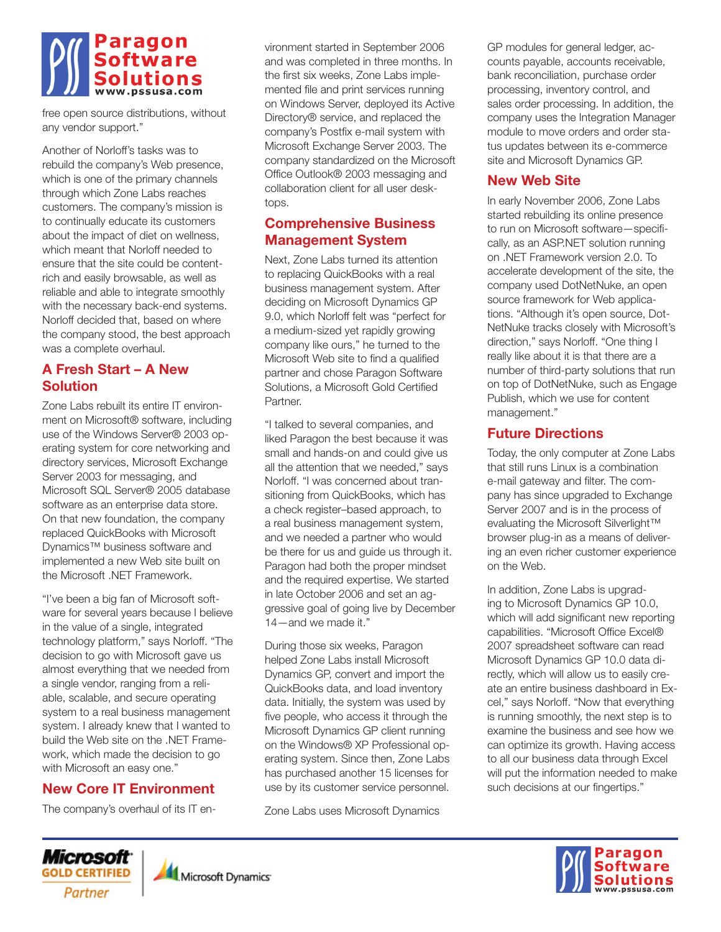# Paragon

free open source distributions, without any vendor support."

Another of Norloff's tasks was to rebuild the company's Web presence, which is one of the primary channels through which Zone Labs reaches customers. The company's mission is to continually educate its customers about the impact of diet on wellness, which meant that Norloff needed to ensure that the site could be contentrich and easily browsable, as well as reliable and able to integrate smoothly with the necessary back-end systems. Norloff decided that, based on where the company stood, the best approach was a complete overhaul.

## **A Fresh Start – A New Solution**

Zone Labs rebuilt its entire IT environment on Microsoft® software, including use of the Windows Server® 2003 operating system for core networking and directory services, Microsoft Exchange Server 2003 for messaging, and Microsoft SQL Server® 2005 database software as an enterprise data store. On that new foundation, the company replaced QuickBooks with Microsoft Dynamics™ business software and implemented a new Web site built on the Microsoft .NET Framework.

"I've been a big fan of Microsoft software for several years because I believe in the value of a single, integrated technology platform," says Norloff. "The decision to go with Microsoft gave us almost everything that we needed from a single vendor, ranging from a reliable, scalable, and secure operating system to a real business management system. I already knew that I wanted to build the Web site on the .NET Framework, which made the decision to go with Microsoft an easy one."

## **New Core IT Environment**

The company's overhaul of its IT en-

Microsoft<sup>.</sup>

Partner

vironment started in September 2006 and was completed in three months. In the first six weeks, Zone Labs implemented file and print services running on Windows Server, deployed its Active Directory® service, and replaced the company's Postfix e-mail system with Microsoft Exchange Server 2003. The company standardized on the Microsoft Office Outlook® 2003 messaging and collaboration client for all user desktops.

## **Comprehensive Business Management System**

Next, Zone Labs turned its attention to replacing QuickBooks with a real business management system. After deciding on Microsoft Dynamics GP 9.0, which Norloff felt was "perfect for a medium-sized yet rapidly growing company like ours," he turned to the Microsoft Web site to find a qualified partner and chose Paragon Software Solutions, a Microsoft Gold Certified Partner.

"I talked to several companies, and liked Paragon the best because it was small and hands-on and could give us all the attention that we needed," says Norloff. "I was concerned about transitioning from QuickBooks, which has a check register–based approach, to a real business management system, and we needed a partner who would be there for us and guide us through it. Paragon had both the proper mindset and the required expertise. We started in late October 2006 and set an aggressive goal of going live by December 14—and we made it."

During those six weeks, Paragon helped Zone Labs install Microsoft Dynamics GP, convert and import the QuickBooks data, and load inventory data. Initially, the system was used by five people, who access it through the Microsoft Dynamics GP client running on the Windows® XP Professional operating system. Since then, Zone Labs has purchased another 15 licenses for use by its customer service personnel.

Zone Labs uses Microsoft Dynamics

GP modules for general ledger, accounts payable, accounts receivable, bank reconciliation, purchase order processing, inventory control, and sales order processing. In addition, the company uses the Integration Manager module to move orders and order status updates between its e-commerce site and Microsoft Dynamics GP.

## **New Web Site**

In early November 2006, Zone Labs started rebuilding its online presence to run on Microsoft software—specifically, as an ASP.NET solution running on .NET Framework version 2.0. To accelerate development of the site, the company used DotNetNuke, an open source framework for Web applications. "Although it's open source, Dot-NetNuke tracks closely with Microsoft's direction," says Norloff. "One thing I really like about it is that there are a number of third-party solutions that run on top of DotNetNuke, such as Engage Publish, which we use for content management."

## **Future Directions**

Today, the only computer at Zone Labs that still runs Linux is a combination e-mail gateway and filter. The company has since upgraded to Exchange Server 2007 and is in the process of evaluating the Microsoft Silverlight™ browser plug-in as a means of delivering an even richer customer experience on the Web.

In addition, Zone Labs is upgrading to Microsoft Dynamics GP 10.0, which will add significant new reporting capabilities. "Microsoft Office Excel® 2007 spreadsheet software can read Microsoft Dynamics GP 10.0 data directly, which will allow us to easily create an entire business dashboard in Excel," says Norloff. "Now that everything is running smoothly, the next step is to examine the business and see how we can optimize its growth. Having access to all our business data through Excel will put the information needed to make such decisions at our fingertips."



Microsoft Dynamics